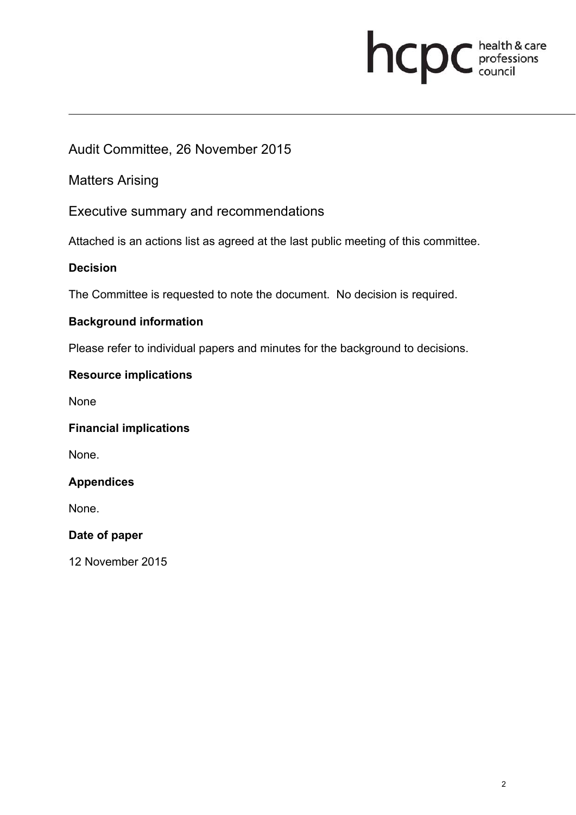# **hcpC** health & care

### Audit Committee, 26 November 2015

Matters Arising

Executive summary and recommendations

Attached is an actions list as agreed at the last public meeting of this committee.

#### **Decision**

The Committee is requested to note the document. No decision is required.

#### **Background information**

Please refer to individual papers and minutes for the background to decisions.

#### **Resource implications**

None

**Financial implications** 

None.

#### **Appendices**

None.

#### **Date of paper**

12 November 2015